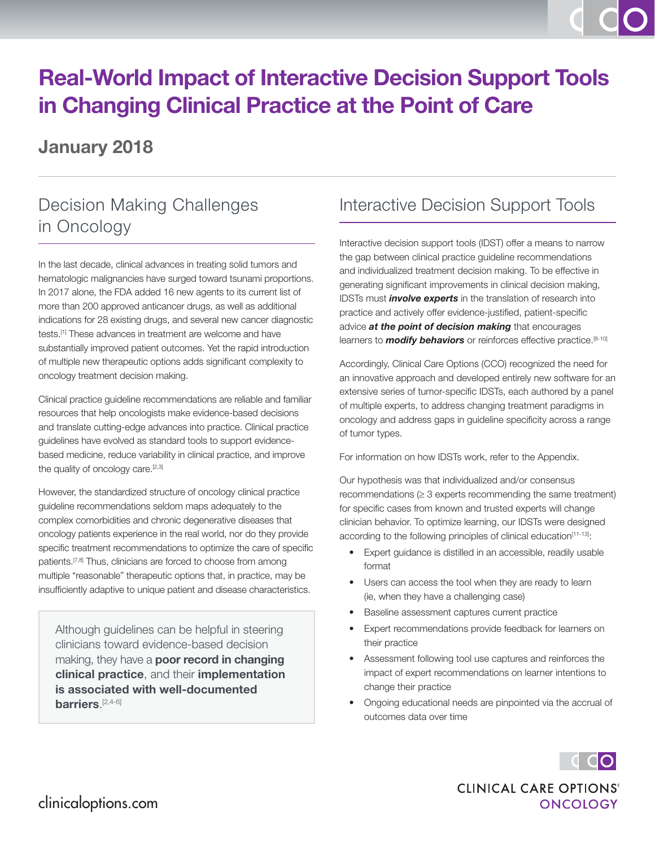# **Real-World Impact of Interactive Decision Support Tools in Changing Clinical Practice at the Point of Care**

## **January 2018**

## Decision Making Challenges in Oncology

In the last decade, clinical advances in treating solid tumors and hematologic malignancies have surged toward tsunami proportions. In 2017 alone, the FDA added 16 new agents to its current list of more than 200 approved anticancer drugs, as well as additional indications for 28 existing drugs, and several new cancer diagnostic tests.[1] These advances in treatment are welcome and have substantially improved patient outcomes. Yet the rapid introduction of multiple new therapeutic options adds significant complexity to oncology treatment decision making.

Clinical practice guideline recommendations are reliable and familiar resources that help oncologists make evidence-based decisions and translate cutting-edge advances into practice. Clinical practice guidelines have evolved as standard tools to support evidencebased medicine, reduce variability in clinical practice, and improve the quality of oncology care.<sup>[2,3]</sup>

However, the standardized structure of oncology clinical practice guideline recommendations seldom maps adequately to the complex comorbidities and chronic degenerative diseases that oncology patients experience in the real world, nor do they provide specific treatment recommendations to optimize the care of specific patients.<sup>[7,8]</sup> Thus, clinicians are forced to choose from among multiple "reasonable" therapeutic options that, in practice, may be insufficiently adaptive to unique patient and disease characteristics.

Although guidelines can be helpful in steering clinicians toward evidence-based decision making, they have a **poor record in changing clinical practice**, and their **implementation is associated with well-documented barriers**. [2,4-6]

### Interactive Decision Support Tools

Interactive decision support tools (IDST) offer a means to narrow the gap between clinical practice guideline recommendations and individualized treatment decision making. To be effective in generating significant improvements in clinical decision making, IDSTs must *involve experts* in the translation of research into practice and actively offer evidence-justified, patient-specific advice *at the point of decision making* that encourages learners to **modify behaviors** or reinforces effective practice.<sup>[8-10]</sup>

Accordingly, Clinical Care Options (CCO) recognized the need for an innovative approach and developed entirely new software for an extensive series of tumor-specific IDSTs, each authored by a panel of multiple experts, to address changing treatment paradigms in oncology and address gaps in guideline specificity across a range of tumor types.

For information on how IDSTs work, refer to the Appendix.

Our hypothesis was that individualized and/or consensus recommendations  $(≥ 3$  experts recommending the same treatment) for specific cases from known and trusted experts will change clinician behavior. To optimize learning, our IDSTs were designed according to the following principles of clinical education<sup>[11-13]</sup>:

- Expert guidance is distilled in an accessible, readily usable format
- Users can access the tool when they are ready to learn (ie, when they have a challenging case)
- Baseline assessment captures current practice
- Expert recommendations provide feedback for learners on their practice
- Assessment following tool use captures and reinforces the impact of expert recommendations on learner intentions to change their practice
- Ongoing educational needs are pinpointed via the accrual of outcomes data over time



**CLINICAL CARE OPTIONS® ONCOLOGY**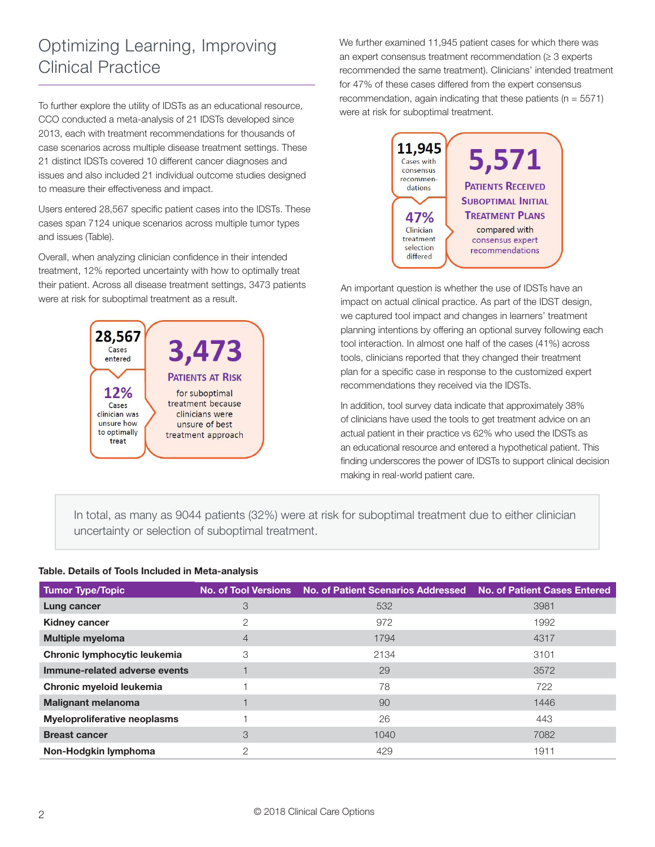## Optimizing Learning, Improving Clinical Practice

To further explore the utility of IDSTs as an educational resource, CCO conducted a meta-analysis of 21 IDSTs developed since 2013, each with treatment recommendations for thousands of case scenarios across multiple disease treatment settings. These 21 distinct IDSTs covered 10 different cancer diagnoses and issues and also included 21 individual outcome studies designed to measure their effectiveness and impact.

Users entered 28,567 specific patient cases into the IDSTs. These cases span 7124 unique scenarios across multiple tumor types and issues (Table).

Overall, when analyzing clinician confidence in their intended treatment, 12% reported uncertainty with how to optimally treat their patient. Across all disease treatment settings, 3473 patients were at risk for suboptimal treatment as a result.



We further examined 11,945 patient cases for which there was an expert consensus treatment recommendation  $(≥ 3$  experts recommended the same treatment). Clinicians' intended treatment for 47% of these cases differed from the expert consensus recommendation, again indicating that these patients ( $n = 5571$ ) were at risk for suboptimal treatment.



An important question is whether the use of IDSTs have an impact on actual clinical practice. As part of the IDST design, we captured tool impact and changes in learners' treatment planning intentions by offering an optional survey following each tool interaction. In almost one half of the cases (41%) across tools, clinicians reported that they changed their treatment plan for a specific case in response to the customized expert recommendations they received via the IDSTs.

In addition, tool survey data indicate that approximately 38% of clinicians have used the tools to get treatment advice on an actual patient in their practice vs 62% who used the IDSTs as an educational resource and entered a hypothetical patient. This finding underscores the power of IDSTs to support clinical decision making in real-world patient care.

In total, as many as 9044 patients (32%) were at risk for suboptimal treatment due to either clinician uncertainty or selection of suboptimal treatment.

### **Table. Details of Tools Included in Meta-analysis**

| <b>Tumor Type/Topic</b>             |                | No. of Tool Versions No. of Patient Scenarios Addressed No. of Patient Cases Entered |      |
|-------------------------------------|----------------|--------------------------------------------------------------------------------------|------|
| Lung cancer                         | 3              | 532                                                                                  | 3981 |
| <b>Kidney cancer</b>                | 2              | 972                                                                                  | 1992 |
| <b>Multiple myeloma</b>             | $\overline{4}$ | 1794                                                                                 | 4317 |
| Chronic lymphocytic leukemia        | 3              | 2134                                                                                 | 3101 |
| Immune-related adverse events       |                | 29                                                                                   | 3572 |
| Chronic myeloid leukemia            |                | 78                                                                                   | 722  |
| <b>Malignant melanoma</b>           |                | 90                                                                                   | 1446 |
| <b>Myeloproliferative neoplasms</b> |                | 26                                                                                   | 443  |
| <b>Breast cancer</b>                | 3              | 1040                                                                                 | 7082 |
| Non-Hodgkin lymphoma                | $\overline{2}$ | 429                                                                                  | 1911 |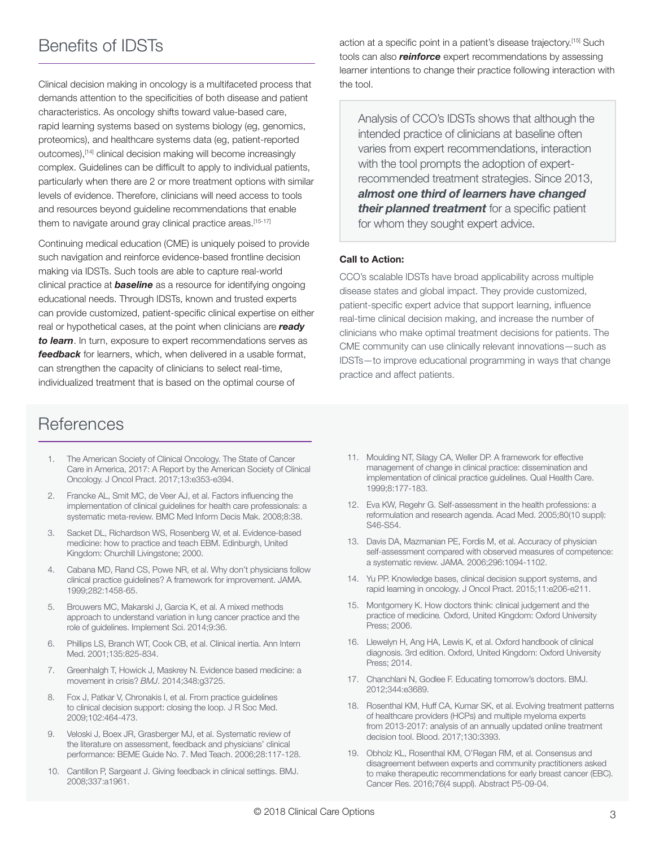### Benefits of IDSTs

Clinical decision making in oncology is a multifaceted process that demands attention to the specificities of both disease and patient characteristics. As oncology shifts toward value-based care, rapid learning systems based on systems biology (eg, genomics, proteomics), and healthcare systems data (eg, patient-reported outcomes),[14] clinical decision making will become increasingly complex. Guidelines can be difficult to apply to individual patients, particularly when there are 2 or more treatment options with similar levels of evidence. Therefore, clinicians will need access to tools and resources beyond guideline recommendations that enable them to navigate around gray clinical practice areas.[15-17]

Continuing medical education (CME) is uniquely poised to provide such navigation and reinforce evidence-based frontline decision making via IDSTs. Such tools are able to capture real-world clinical practice at *baseline* as a resource for identifying ongoing educational needs. Through IDSTs, known and trusted experts can provide customized, patient-specific clinical expertise on either real or hypothetical cases, at the point when clinicians are *ready to learn*. In turn, exposure to expert recommendations serves as *feedback* for learners, which, when delivered in a usable format, can strengthen the capacity of clinicians to select real-time, individualized treatment that is based on the optimal course of

### **References**

- 1. The American Society of Clinical Oncology. The State of Cancer Care in America, 2017: A Report by the American Society of Clinical Oncology. J Oncol Pract. 2017;13:e353-e394.
- 2. Francke AL, Smit MC, de Veer AJ, et al. Factors influencing the implementation of clinical guidelines for health care professionals: a systematic meta-review. BMC Med Inform Decis Mak. 2008;8:38.
- 3. Sacket DL, Richardson WS, Rosenberg W, et al. Evidence-based medicine: how to practice and teach EBM. Edinburgh, United Kingdom: Churchill Livingstone; 2000.
- 4. Cabana MD, Rand CS, Powe NR, et al. Why don't physicians follow clinical practice guidelines? A framework for improvement. JAMA. 1999;282:1458-65.
- 5. Brouwers MC, Makarski J, Garcia K, et al. A mixed methods approach to understand variation in lung cancer practice and the role of guidelines. Implement Sci. 2014;9:36.
- 6. Phillips LS, Branch WT, Cook CB, et al. Clinical inertia. Ann Intern Med. 2001;135:825-834.
- 7. Greenhalgh T, Howick J, Maskrey N. Evidence based medicine: a movement in crisis? *BMJ*. 2014;348:g3725.
- 8. Fox J, Patkar V, Chronakis I, et al. From practice guidelines to clinical decision support: closing the loop. J R Soc Med. 2009;102:464-473.
- 9. Veloski J, Boex JR, Grasberger MJ, et al. Systematic review of the literature on assessment, feedback and physicians' clinical performance: BEME Guide No. 7. Med Teach. 2006;28:117-128.
- 10. Cantillon P, Sargeant J. Giving feedback in clinical settings. BMJ. 2008;337:a1961.

action at a specific point in a patient's disease trajectory.[15] Such tools can also *reinforce* expert recommendations by assessing learner intentions to change their practice following interaction with the tool.

Analysis of CCO's IDSTs shows that although the intended practice of clinicians at baseline often varies from expert recommendations, interaction with the tool prompts the adoption of expertrecommended treatment strategies. Since 2013, *almost one third of learners have changed their planned treatment* for a specific patient for whom they sought expert advice.

### **Call to Action:**

CCO's scalable IDSTs have broad applicability across multiple disease states and global impact. They provide customized, patient-specific expert advice that support learning, influence real-time clinical decision making, and increase the number of clinicians who make optimal treatment decisions for patients. The CME community can use clinically relevant innovations—such as IDSTs—to improve educational programming in ways that change practice and affect patients.

- 11. Moulding NT, Silagy CA, Weller DP. A framework for effective management of change in clinical practice: dissemination and implementation of clinical practice guidelines. Qual Health Care. 1999;8:177-183.
- 12. Eva KW, Regehr G. Self-assessment in the health professions: a reformulation and research agenda. Acad Med. 2005;80(10 suppl): S46-S54.
- 13. Davis DA, Mazmanian PE, Fordis M, et al. Accuracy of physician self-assessment compared with observed measures of competence: a systematic review. JAMA. 2006;296:1094-1102.
- 14. Yu PP. Knowledge bases, clinical decision support systems, and rapid learning in oncology. J Oncol Pract. 2015;11:e206-e211.
- 15. Montgomery K. How doctors think: clinical judgement and the practice of medicine*.* Oxford, United Kingdom: Oxford University Press; 2006.
- 16. Llewelyn H, Ang HA, Lewis K, et al. Oxford handbook of clinical diagnosis. 3rd edition. Oxford, United Kingdom: Oxford University Press; 2014.
- 17. Chanchlani N, Godlee F. Educating tomorrow's doctors. BMJ. 2012;344:e3689.
- 18. Rosenthal KM, Huff CA, Kumar SK, et al. Evolving treatment patterns of healthcare providers (HCPs) and multiple myeloma experts from 2013-2017: analysis of an annually updated online treatment decision tool. Blood. 2017;130:3393.
- 19. Obholz KL, Rosenthal KM, O'Regan RM, et al. Consensus and disagreement between experts and community practitioners asked to make therapeutic recommendations for early breast cancer (EBC). Cancer Res. 2016;76(4 suppl). Abstract P5-09-04.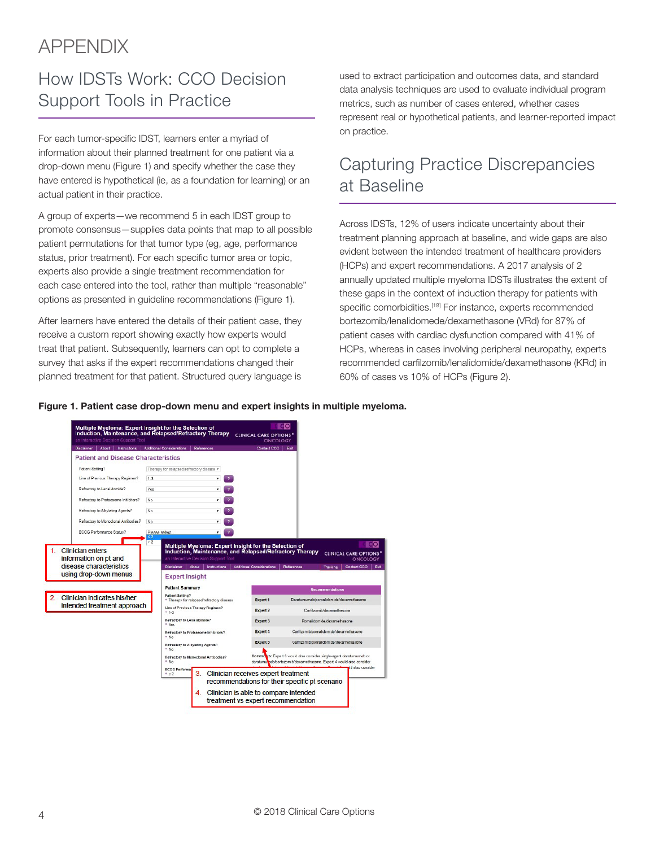## APPENDIX

## How IDSTs Work: CCO Decision Support Tools in Practice

For each tumor-specific IDST, learners enter a myriad of information about their planned treatment for one patient via a drop-down menu (Figure 1) and specify whether the case they have entered is hypothetical (ie, as a foundation for learning) or an actual patient in their practice.

A group of experts—we recommend 5 in each IDST group to promote consensus—supplies data points that map to all possible patient permutations for that tumor type (eg, age, performance status, prior treatment). For each specific tumor area or topic, experts also provide a single treatment recommendation for each case entered into the tool, rather than multiple "reasonable" options as presented in guideline recommendations (Figure 1).

After learners have entered the details of their patient case, they receive a custom report showing exactly how experts would treat that patient. Subsequently, learners can opt to complete a survey that asks if the expert recommendations changed their planned treatment for that patient. Structured query language is

used to extract participation and outcomes data, and standard data analysis techniques are used to evaluate individual program metrics, such as number of cases entered, whether cases represent real or hypothetical patients, and learner-reported impact on practice.

## Capturing Practice Discrepancies at Baseline

Across IDSTs, 12% of users indicate uncertainty about their treatment planning approach at baseline, and wide gaps are also evident between the intended treatment of healthcare providers (HCPs) and expert recommendations. A 2017 analysis of 2 annually updated multiple myeloma IDSTs illustrates the extent of these gaps in the context of induction therapy for patients with specific comorbidities.<sup>[18]</sup> For instance, experts recommended bortezomib/lenalidomede/dexamethasone (VRd) for 87% of patient cases with cardiac dysfunction compared with 41% of HCPs, whereas in cases involving peripheral neuropathy, experts recommended carfilzomib/lenalidomide/dexamethasone (KRd) in 60% of cases vs 10% of HCPs (Figure 2).